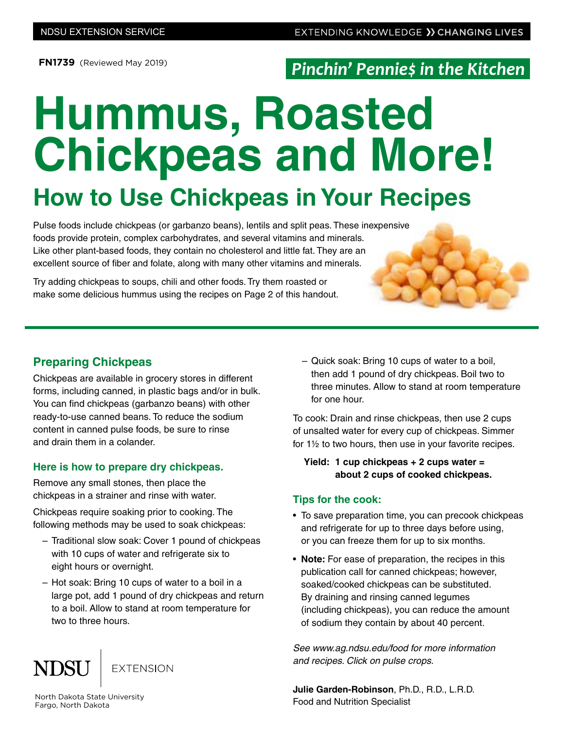**FN1739** (Reviewed May 2019)

## Pinchin' Pennies in the Kitchen

# **Hummus, Roasted Chickpeas and More!**

# **How to Use Chickpeas in Your Recipes**

Pulse foods include chickpeas (or garbanzo beans), lentils and split peas. These inexpensive foods provide protein, complex carbohydrates, and several vitamins and minerals. Like other plant-based foods, they contain no cholesterol and little fat. They are an excellent source of fiber and folate, along with many other vitamins and minerals.

Try adding chickpeas to soups, chili and other foods. Try them roasted or make some delicious hummus using the recipes on Page 2 of this handout.

#### **Preparing Chickpeas**

Chickpeas are available in grocery stores in different forms, including canned, in plastic bags and/or in bulk. You can find chickpeas (garbanzo beans) with other ready-to-use canned beans. To reduce the sodium content in canned pulse foods, be sure to rinse and drain them in a colander.

#### **Here is how to prepare dry chickpeas.**

Remove any small stones, then place the chickpeas in a strainer and rinse with water.

Chickpeas require soaking prior to cooking. The following methods may be used to soak chickpeas:

- Traditional slow soak: Cover 1 pound of chickpeas with 10 cups of water and refrigerate six to eight hours or overnight.
- Hot soak: Bring 10 cups of water to a boil in a large pot, add 1 pound of dry chickpeas and return to a boil. Allow to stand at room temperature for two to three hours.

#### **NDSU EXTENSION**

– Quick soak: Bring 10 cups of water to a boil, then add 1 pound of dry chickpeas. Boil two to three minutes. Allow to stand at room temperature for one hour.

To cook: Drain and rinse chickpeas, then use 2 cups of unsalted water for every cup of chickpeas. Simmer for 1½ to two hours, then use in your favorite recipes.

#### **Yield: 1 cup chickpeas + 2 cups water = about 2 cups of cooked chickpeas.**

#### **Tips for the cook:**

- To save preparation time, you can precook chickpeas and refrigerate for up to three days before using, or you can freeze them for up to six months.
- **Note:** For ease of preparation, the recipes in this publication call for canned chickpeas; however, soaked/cooked chickpeas can be substituted. By draining and rinsing canned legumes (including chickpeas), you can reduce the amount of sodium they contain by about 40 percent.

*See www.ag.ndsu.edu/food for more information and recipes. Click on pulse crops.* 

**Julie Garden-Robinson**, Ph.D., R.D., L.R.D. Food and Nutrition Specialist

North Dakota State University Fargo, North Dakota